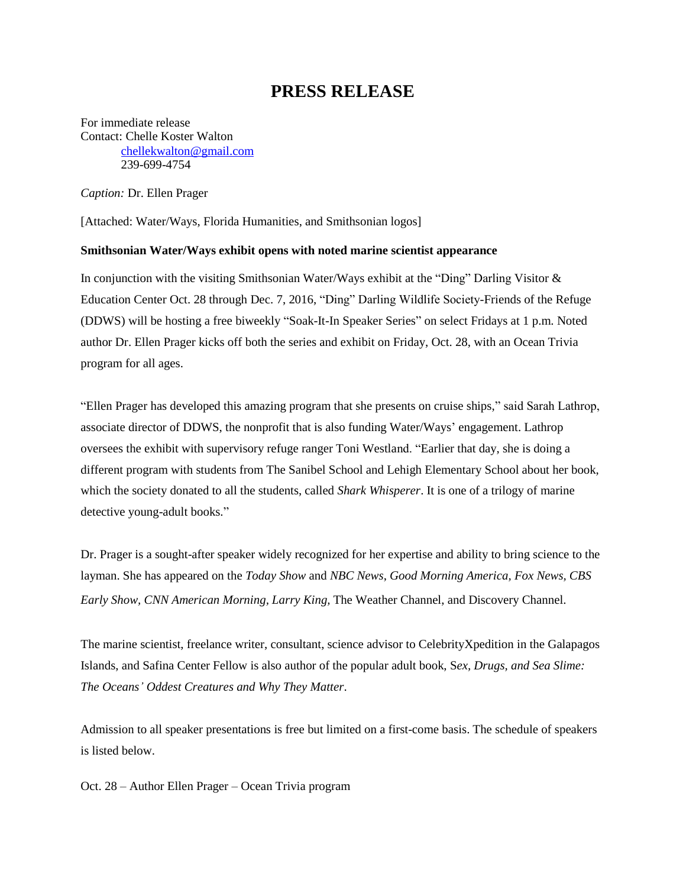## **PRESS RELEASE**

For immediate release Contact: Chelle Koster Walton [chellekwalton@gmail.com](mailto:chellekwalton@gmail.com) 239-699-4754

*Caption:* Dr. Ellen Prager

[Attached: Water/Ways, Florida Humanities, and Smithsonian logos]

## **Smithsonian Water/Ways exhibit opens with noted marine scientist appearance**

In conjunction with the visiting Smithsonian Water/Ways exhibit at the "Ding" Darling Visitor & Education Center Oct. 28 through Dec. 7, 2016, "Ding" Darling Wildlife Society-Friends of the Refuge (DDWS) will be hosting a free biweekly "Soak-It-In Speaker Series" on select Fridays at 1 p.m. Noted author Dr. Ellen Prager kicks off both the series and exhibit on Friday, Oct. 28, with an Ocean Trivia program for all ages.

"Ellen Prager has developed this amazing program that she presents on cruise ships," said Sarah Lathrop, associate director of DDWS, the nonprofit that is also funding Water/Ways' engagement. Lathrop oversees the exhibit with supervisory refuge ranger Toni Westland. "Earlier that day, she is doing a different program with students from The Sanibel School and Lehigh Elementary School about her book, which the society donated to all the students, called *Shark Whisperer*. It is one of a trilogy of marine detective young-adult books."

Dr. Prager is a sought-after speaker widely recognized for her expertise and ability to bring science to the layman. She has appeared on the *Today Show* and *NBC News*, *Good Morning America, Fox News, CBS Early Show, CNN American Morning, Larry King,* The Weather Channel, and Discovery Channel.

The marine scientist, freelance writer, consultant, science advisor to CelebrityXpedition in the Galapagos Islands, and Safina Center Fellow is also author of the popular adult book, S*ex, Drugs, and Sea Slime: The Oceans' Oddest Creatures and Why They Matter*.

Admission to all speaker presentations is free but limited on a first-come basis. The schedule of speakers is listed below.

Oct. 28 – Author Ellen Prager – Ocean Trivia program